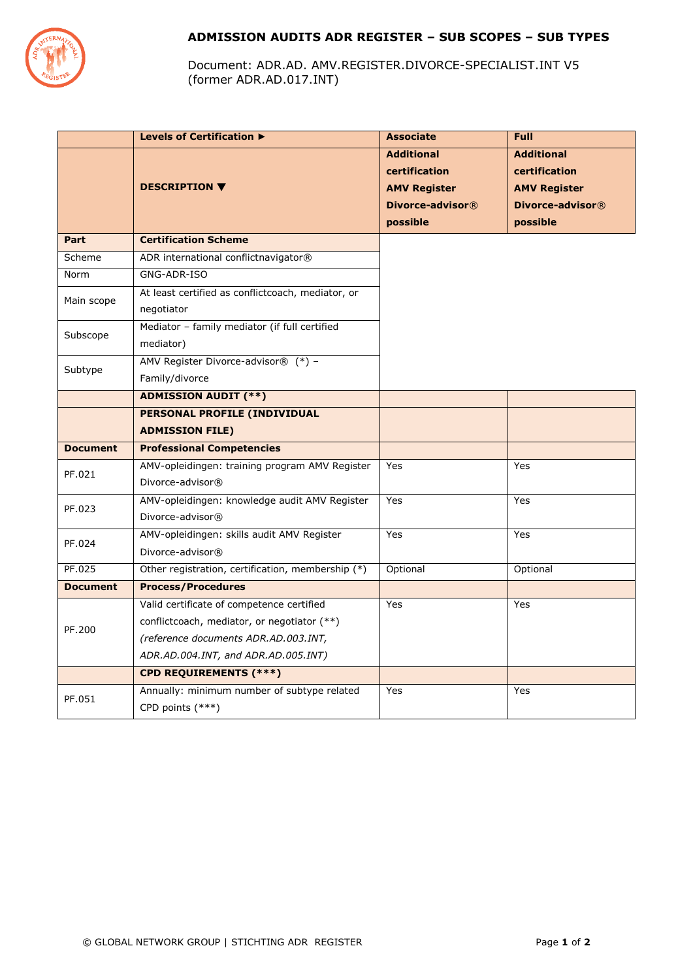

# **ADMISSION AUDITS ADR REGISTER – SUB SCOPES – SUB TYPES**

Document: ADR.AD. AMV.REGISTER.DIVORCE-SPECIALIST.INT V5 (former ADR.AD.017.INT)

|                 | Levels of Certification ▶                         | <b>Associate</b>    | <b>Full</b>         |
|-----------------|---------------------------------------------------|---------------------|---------------------|
|                 |                                                   | <b>Additional</b>   | <b>Additional</b>   |
|                 |                                                   | certification       | certification       |
|                 | <b>DESCRIPTION ▼</b>                              | <b>AMV Register</b> | <b>AMV Register</b> |
|                 |                                                   | Divorce-advisor®    | Divorce-advisor®    |
|                 |                                                   | possible            | possible            |
| Part            | <b>Certification Scheme</b>                       |                     |                     |
| Scheme          | ADR international conflictnavigator®              |                     |                     |
| Norm            | GNG-ADR-ISO                                       |                     |                     |
| Main scope      | At least certified as conflictcoach, mediator, or |                     |                     |
|                 | negotiator                                        |                     |                     |
| Subscope        | Mediator - family mediator (if full certified     |                     |                     |
|                 | mediator)                                         |                     |                     |
| Subtype         | AMV Register Divorce-advisor® (*) -               |                     |                     |
|                 | Family/divorce                                    |                     |                     |
|                 | <b>ADMISSION AUDIT (**)</b>                       |                     |                     |
|                 | PERSONAL PROFILE (INDIVIDUAL                      |                     |                     |
|                 | <b>ADMISSION FILE)</b>                            |                     |                     |
| <b>Document</b> | <b>Professional Competencies</b>                  |                     |                     |
| PF.021          | AMV-opleidingen: training program AMV Register    | Yes                 | Yes                 |
|                 | Divorce-advisor®                                  |                     |                     |
| PF.023          | AMV-opleidingen: knowledge audit AMV Register     | Yes                 | Yes                 |
|                 | Divorce-advisor®                                  |                     |                     |
| PF.024          | AMV-opleidingen: skills audit AMV Register        | Yes                 | Yes                 |
|                 | Divorce-advisor®                                  |                     |                     |
| PF.025          | Other registration, certification, membership (*) | Optional            | Optional            |
| <b>Document</b> | <b>Process/Procedures</b>                         |                     |                     |
| PF.200          | Valid certificate of competence certified         | Yes                 | Yes                 |
|                 | conflictcoach, mediator, or negotiator (**)       |                     |                     |
|                 | (reference documents ADR.AD.003.INT,              |                     |                     |
|                 | ADR.AD.004.INT, and ADR.AD.005.INT)               |                     |                     |
|                 | <b>CPD REQUIREMENTS (***)</b>                     |                     |                     |
| PF.051          | Annually: minimum number of subtype related       | Yes                 | Yes                 |
|                 | CPD points (***)                                  |                     |                     |